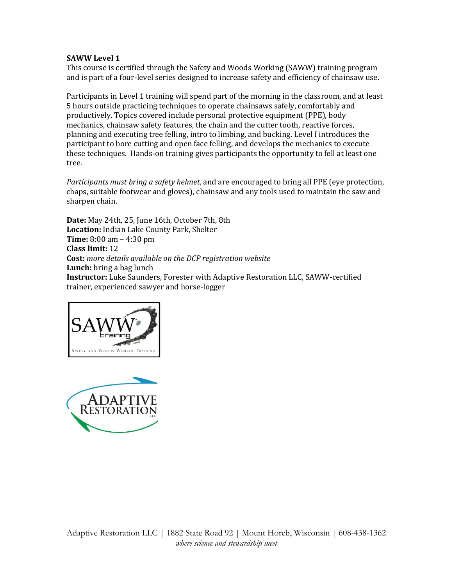This course is certified through the Safety and Woods Working (SAWW) training program and is part of a four-level series designed to increase safety and efficiency of chainsaw use.

Participants in Level 1 training will spend part of the morning in the classroom, and at least 5 hours outside practicing techniques to operate chainsaws safely, comfortably and productively. Topics covered include personal protective equipment (PPE), body mechanics, chainsaw safety features, the chain and the cutter tooth, reactive forces, planning and executing tree felling, intro to limbing, and bucking. Level I introduces the participant to bore cutting and open face felling, and develops the mechanics to execute these techniques. Hands-on training gives participants the opportunity to fell at least one tree.

*Participants must bring a safety helmet*, and are encouraged to bring all PPE (eye protection, chaps, suitable footwear and gloves), chainsaw and any tools used to maintain the saw and sharpen chain.

**Date:** May 24th, 25, June 16th, October 7th, 8th **Location:** Indian Lake County Park, Shelter **Time:** 8:00 am – 4:30 pm **Class limit:** 12 **Cost:** *more details available on the DCP registration website* **Lunch:** bring a bag lunch **Instructor:** Luke Saunders, Forester with Adaptive Restoration LLC, SAWW-certified trainer, experienced sawyer and horse-logger



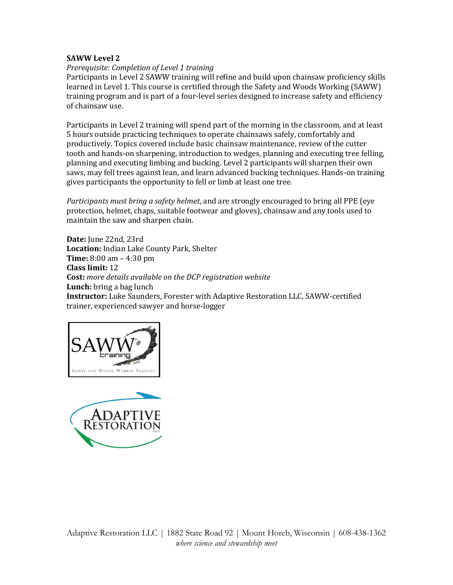### *Prerequisite: Completion of Level 1 training*

Participants in Level 2 SAWW training will refine and build upon chainsaw proficiency skills learned in Level 1. This course is certified through the Safety and Woods Working (SAWW) training program and is part of a four-level series designed to increase safety and efficiency of chainsaw use.

Participants in Level 2 training will spend part of the morning in the classroom, and at least 5 hours outside practicing techniques to operate chainsaws safely, comfortably and productively. Topics covered include basic chainsaw maintenance, review of the cutter tooth and hands-on sharpening, introduction to wedges, planning and executing tree felling, planning and executing limbing and bucking. Level 2 participants will sharpen their own saws, may fell trees against lean, and learn advanced bucking techniques. Hands-on training gives participants the opportunity to fell or limb at least one tree.

*Participants must bring a safety helmet*, and are strongly encouraged to bring all PPE (eye protection, helmet, chaps, suitable footwear and gloves), chainsaw and any tools used to maintain the saw and sharpen chain.

**Date:** June 22nd, 23rd **Location:** Indian Lake County Park, Shelter **Time:** 8:00 am – 4:30 pm **Class limit:** 12 **Cost:** *more details available on the DCP registration website* **Lunch:** bring a bag lunch **Instructor:** Luke Saunders, Forester with Adaptive Restoration LLC, SAWW-certified trainer, experienced sawyer and horse-logger



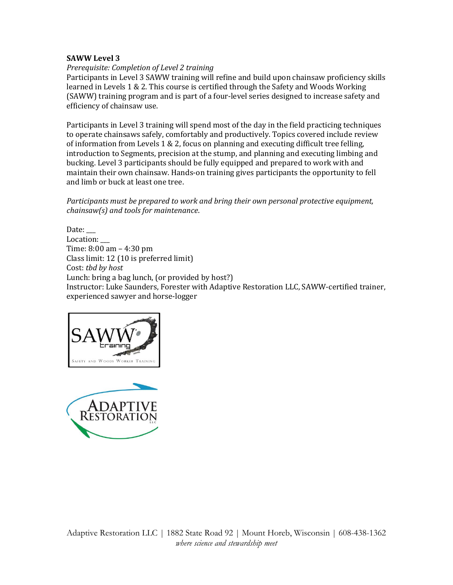### *Prerequisite: Completion of Level 2 training*

Participants in Level 3 SAWW training will refine and build upon chainsaw proficiency skills learned in Levels 1 & 2. This course is certified through the Safety and Woods Working (SAWW) training program and is part of a four-level series designed to increase safety and efficiency of chainsaw use.

Participants in Level 3 training will spend most of the day in the field practicing techniques to operate chainsaws safely, comfortably and productively. Topics covered include review of information from Levels 1 & 2, focus on planning and executing difficult tree felling, introduction to Segments, precision at the stump, and planning and executing limbing and bucking. Level 3 participants should be fully equipped and prepared to work with and maintain their own chainsaw. Hands-on training gives participants the opportunity to fell and limb or buck at least one tree.

*Participants must be prepared to work and bring their own personal protective equipment, chainsaw(s) and tools for maintenance*.

Date: Location: Time: 8:00 am – 4:30 pm Class limit: 12 (10 is preferred limit) Cost: *tbd by host* Lunch: bring a bag lunch, (or provided by host?) Instructor: Luke Saunders, Forester with Adaptive Restoration LLC, SAWW-certified trainer, experienced sawyer and horse-logger